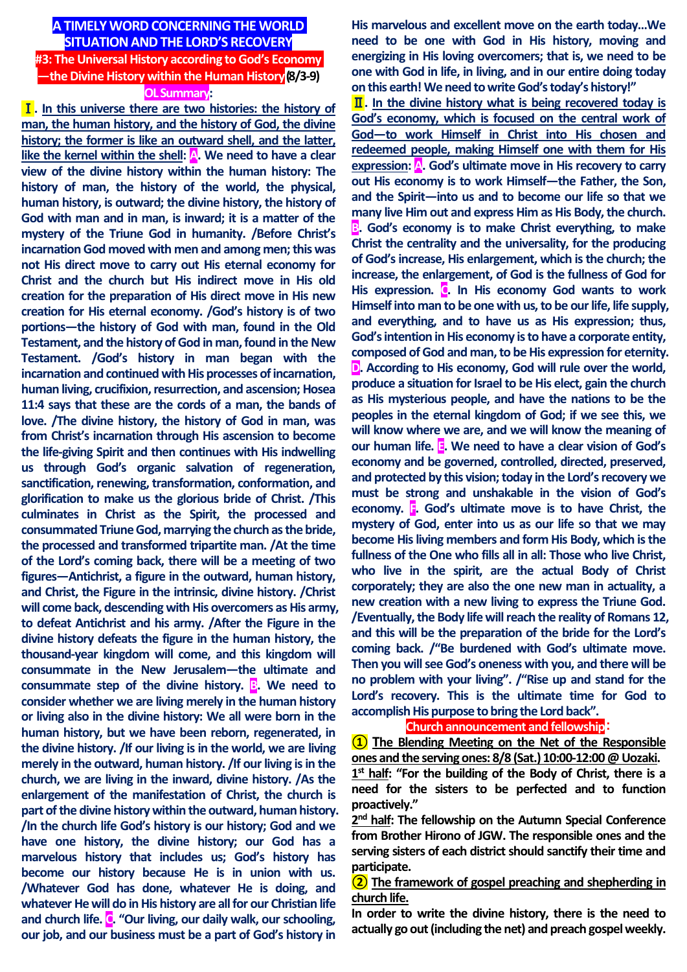# **A TIMELY WORD CONCERNING THE WORLD SITUATION AND THE LORD'S RECOVERY #3: The Universal History according to God's Economy —the Divine History within the Human History(8/3-9)**

**OL Summary:**

Ⅰ**. In this universe there are two histories: the history of man, the human history, and the history of God, the divine history; the former is like an outward shell, and the latter, like the kernel within the shell: A. We need to have a clear view of the divine history within the human history: The history of man, the history of the world, the physical, human history, is outward; the divine history, the history of God with man and in man, is inward; it is a matter of the mystery of the Triune God in humanity. /Before Christ's incarnation God moved with men and among men; this was not His direct move to carry out His eternal economy for Christ and the church but His indirect move in His old creation for the preparation of His direct move in His new creation for His eternal economy. /God's history is of two portions—the history of God with man, found in the Old Testament, and the history of God in man, found in the New Testament. /God's history in man began with the incarnation and continued with His processes of incarnation, human living, crucifixion, resurrection, and ascension; Hosea 11:4 says that these are the cords of a man, the bands of love. /The divine history, the history of God in man, was from Christ's incarnation through His ascension to become the life-giving Spirit and then continues with His indwelling us through God's organic salvation of regeneration, sanctification, renewing, transformation, conformation, and glorification to make us the glorious bride of Christ. /This culminates in Christ as the Spirit, the processed and consummated Triune God, marrying the church as the bride, the processed and transformed tripartite man. /At the time of the Lord's coming back, there will be a meeting of two figures—Antichrist, a figure in the outward, human history, and Christ, the Figure in the intrinsic, divine history. /Christ will come back, descending with His overcomers as His army, to defeat Antichrist and his army. /After the Figure in the divine history defeats the figure in the human history, the thousand-year kingdom will come, and this kingdom will consummate in the New Jerusalem—the ultimate and consummate step of the divine history. B. We need to consider whether we are living merely in the human history or living also in the divine history: We all were born in the human history, but we have been reborn, regenerated, in the divine history. /If our living is in the world, we are living merely in the outward, human history. /If our living is in the church, we are living in the inward, divine history. /As the enlargement of the manifestation of Christ, the church is part of the divine history within the outward, human history. /In the church life God's history is our history; God and we have one history, the divine history; our God has a marvelous history that includes us; God's history has become our history because He is in union with us. /Whatever God has done, whatever He is doing, and whatever He will do in His history are all for our Christian life and church life. C. "Our living, our daily walk, our schooling, our job, and our business must be a part of God's history in** 

**His marvelous and excellent move on the earth today…We need to be one with God in His history, moving and energizing in His loving overcomers; that is, we need to be one with God in life, in living, and in our entire doing today on this earth! We need to write God's today's history!"**

Ⅱ**. In the divine history what is being recovered today is God's economy, which is focused on the central work of God—to work Himself in Christ into His chosen and redeemed people, making Himself one with them for His expression: A. God's ultimate move in His recovery to carry out His economy is to work Himself—the Father, the Son, and the Spirit—into us and to become our life so that we many live Him out and express Him as His Body, the church. B. God's economy is to make Christ everything, to make Christ the centrality and the universality, for the producing of God's increase, His enlargement, which is the church; the increase, the enlargement, of God is the fullness of God for**  His expression. **C.** In His economy God wants to work **Himself into man to be one with us, to be our life, life supply, and everything, and to have us as His expression; thus, God's intention in His economy is to have a corporate entity, composed of God and man, to be His expression for eternity. D. According to His economy, God will rule over the world, produce a situation for Israel to be His elect, gain the church as His mysterious people, and have the nations to be the peoples in the eternal kingdom of God; if we see this, we will know where we are, and we will know the meaning of our human life. E. We need to have a clear vision of God's economy and be governed, controlled, directed, preserved, and protected by this vision; today in the Lord's recovery we must be strong and unshakable in the vision of God's economy. F. God's ultimate move is to have Christ, the mystery of God, enter into us as our life so that we may become His living members and form His Body, which is the fullness of the One who fills all in all: Those who live Christ, who live in the spirit, are the actual Body of Christ corporately; they are also the one new man in actuality, a new creation with a new living to express the Triune God. /Eventually, the Body life will reach the reality of Romans 12, and this will be the preparation of the bride for the Lord's coming back. /"Be burdened with God's ultimate move. Then you will see God's oneness with you, and there will be no problem with your living". /"Rise up and stand for the Lord's recovery. This is the ultimate time for God to accomplish His purpose to bring the Lord back".** 

**Church announcement and fellowship**:

**① The Blending Meeting on the Net of the Responsible ones and the serving ones: 8/8 (Sat.) 10:00-12:00@Uozaki.**

**1 st half: "For the building of the Body of Christ, there is a need for the sisters to be perfected and to function proactively."**

2<sup>nd</sup> half: The fellowship on the Autumn Special Conference **from Brother Hirono of JGW. The responsible ones and the serving sisters of each district should sanctify their time and participate.**

**② The framework of gospel preaching and shepherding in church life.**

**In order to write the divine history, there is the need to actually go out (including the net) and preach gospel weekly.**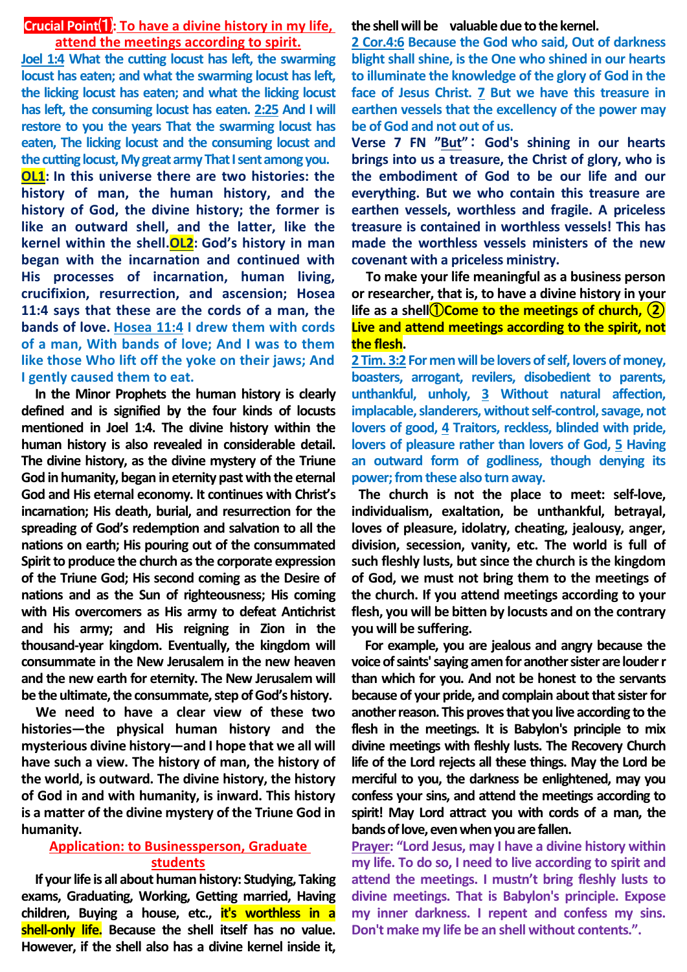### **Crucial Point**⑴**: To have a divine history in my life, attend the meetings according to spirit.**

**Joel 1:4 What the cutting locust has left, the swarming locust has eaten; and what the swarming locust has left, the licking locust has eaten; and what the licking locust has left, the consuming locust has eaten. 2:25 And I will restore to you the years That the swarming locust has eaten, The licking locust and the consuming locust and the cutting locust, My great army That I sent among you. OL1: In this universe there are two histories: the history of man, the human history, and the history of God, the divine history; the former is like an outward shell, and the latter, like the kernel within the shell.OL2: God's history in man began with the incarnation and continued with His processes of incarnation, human living, crucifixion, resurrection, and ascension; Hosea 11:4 says that these are the cords of a man, the bands of love. Hosea 11:4 I drew them with cords of a man, With bands of love; And I was to them like those Who lift off the yoke on their jaws; And I gently caused them to eat.**

**In the Minor Prophets the human history is clearly defined and is signified by the four kinds of locusts mentioned in Joel 1:4. The divine history within the human history is also revealed in considerable detail. The divine history, as the divine mystery of the Triune God in humanity, began in eternity past with the eternal God and His eternal economy. It continues with Christ's incarnation; His death, burial, and resurrection for the spreading of God's redemption and salvation to all the nations on earth; His pouring out of the consummated Spirit to produce the church as the corporate expression of the Triune God; His second coming as the Desire of nations and as the Sun of righteousness; His coming with His overcomers as His army to defeat Antichrist and his army; and His reigning in Zion in the thousand-year kingdom. Eventually, the kingdom will consummate in the New Jerusalem in the new heaven and the new earth for eternity. The New Jerusalem will be the ultimate, the consummate, step of God's history.**

**We need to have a clear view of these two histories—the physical human history and the mysterious divine history—and I hope that we all will have such a view. The history of man, the history of the world, is outward. The divine history, the history of God in and with humanity, is inward. This history is a matter of the divine mystery of the Triune God in humanity.**

#### **Application: to Businessperson, Graduate students**

**If your life is all about human history: Studying, Taking exams, Graduating, Working, Getting married, Having children, Buying a house, etc., it's worthless in a shell-only life. Because the shell itself has no value. However, if the shell also has a divine kernel inside it,** 

**the shell will be valuable due to the kernel.**

**2 Cor.4:6 Because the God who said, Out of darkness blight shall shine, is the One who shined in our hearts to illuminate the knowledge of the glory of God in the face of Jesus Christ. 7 But we have this treasure in earthen vessels that the excellency of the power may be of God and not out of us.**

**Verse 7 FN "But"**: **God's shining in our hearts brings into us a treasure, the Christ of glory, who is the embodiment of God to be our life and our everything. But we who contain this treasure are earthen vessels, worthless and fragile. A priceless treasure is contained in worthless vessels! This has made the worthless vessels ministers of the new covenant with a priceless ministry.**

**To make your life meaningful as a business person or researcher, that is, to have a divine history in your life as a shell**①**Come to the meetings of church, ② Live and attend meetings according to the spirit, not the flesh.**

**2 Tim. 3:2 For men will be lovers of self, lovers of money, boasters, arrogant, revilers, disobedient to parents, unthankful, unholy, 3 Without natural affection, implacable, slanderers, without self-control, savage, not lovers of good, 4 Traitors, reckless, blinded with pride, lovers of pleasure rather than lovers of God, 5 Having an outward form of godliness, though denying its power; from these also turn away.**

**The church is not the place to meet: self-love, individualism, exaltation, be unthankful, betrayal, loves of pleasure, idolatry, cheating, jealousy, anger, division, secession, vanity, etc. The world is full of such fleshly lusts, but since the church is the kingdom of God, we must not bring them to the meetings of the church. If you attend meetings according to your flesh, you will be bitten by locusts and on the contrary you will be suffering.**

**For example, you are jealous and angry because the**  voice of saints' saying amen for another sister are louder r **than which for you. And not be honest to the servants because of your pride, and complain about that sister for another reason. This proves that you live according to the flesh in the meetings. It is Babylon's principle to mix divine meetings with fleshly lusts. The Recovery Church life of the Lord rejects all these things. May the Lord be merciful to you, the darkness be enlightened, may you confess your sins, and attend the meetings according to spirit! May Lord attract you with cords of a man, the bands of love, even when you are fallen.**

**Prayer: "Lord Jesus, may I have a divine history within my life. To do so, I need to live according to spirit and attend the meetings. I mustn't bring fleshly lusts to divine meetings. That is Babylon's principle. Expose my inner darkness. I repent and confess my sins. Don't make my life be an shell without contents.".**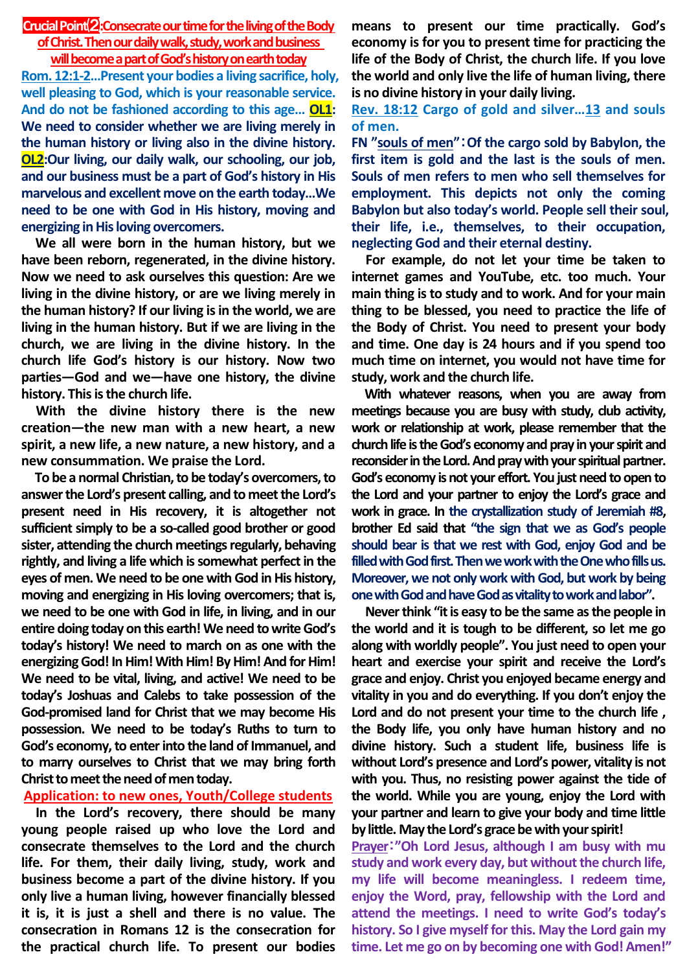### **Crucial Point**⑵**:Consecrate our time for the living of the Body**

#### **of Christ. Then our daily walk, study, work and business will become a part of God's history on earth today**

**Rom. 12:1-2…Present your bodies a living sacrifice, holy, well pleasing to God, which is your reasonable service. And do not be fashioned according to this age… OL1: We need to consider whether we are living merely in the human history or living also in the divine history. OL2:Our living, our daily walk, our schooling, our job, and our business must be a part of God's history in His marvelous and excellent move on the earth today…We need to be one with God in His history, moving and energizing in His loving overcomers.** 

**We all were born in the human history, but we have been reborn, regenerated, in the divine history. Now we need to ask ourselves this question: Are we living in the divine history, or are we living merely in the human history? If our living is in the world, we are living in the human history. But if we are living in the church, we are living in the divine history. In the church life God's history is our history. Now two parties—God and we—have one history, the divine history. This is the church life.** 

**With the divine history there is the new creation—the new man with a new heart, a new spirit, a new life, a new nature, a new history, and a new consummation. We praise the Lord.**

**To be a normal Christian, to be today's overcomers, to answer the Lord's present calling, and to meet the Lord's present need in His recovery, it is altogether not sufficient simply to be a so-called good brother or good sister, attending the church meetings regularly, behaving rightly, and living a life which is somewhat perfect in the eyes of men. We need to be one with God in His history, moving and energizing in His loving overcomers; that is, we need to be one with God in life, in living, and in our entire doing today on this earth! We need to write God's today's history! We need to march on as one with the energizing God! In Him! With Him! By Him! And for Him! We need to be vital, living, and active! We need to be today's Joshuas and Calebs to take possession of the God-promised land for Christ that we may become His possession. We need to be today's Ruths to turn to God's economy, to enter into the land of Immanuel, and to marry ourselves to Christ that we may bring forth Christ to meet the need of men today.** 

# **Application: to new ones, Youth/College students**

**In the Lord's recovery, there should be many young people raised up who love the Lord and consecrate themselves to the Lord and the church life. For them, their daily living, study, work and business become a part of the divine history. If you only live a human living, however financially blessed it is, it is just a shell and there is no value. The consecration in Romans 12 is the consecration for the practical church life. To present our bodies** 

**means to present our time practically. God's economy is for you to present time for practicing the life of the Body of Christ, the church life. If you love the world and only live the life of human living, there is no divine history in your daily living.** 

## **Rev. 18:12 Cargo of gold and silver…13 and souls of men.**

**FN "souls of men"**:**Of the cargo sold by Babylon, the first item is gold and the last is the souls of men. Souls of men refers to men who sell themselves for employment. This depicts not only the coming Babylon but also today's world. People sell their soul, their life, i.e., themselves, to their occupation, neglecting God and their eternal destiny.**

**For example, do not let your time be taken to internet games and YouTube, etc. too much. Your main thing is to study and to work. And for your main thing to be blessed, you need to practice the life of the Body of Christ. You need to present your body and time. One day is 24 hours and if you spend too much time on internet, you would not have time for study, work and the church life.**

**With whatever reasons, when you are away from meetings because you are busy with study, club activity, work or relationship at work, please remember that the church life is the God's economy and pray in your spirit and reconsider in the Lord. And pray with your spiritual partner. God's economy is not your effort. You just need to open to the Lord and your partner to enjoy the Lord's grace and work in grace. In the crystallization study of Jeremiah #8, brother Ed said that "the sign that we as God's people should bear is that we rest with God, enjoy God and be filled with God first. Then we work with the One who fills us. Moreover, we not only work with God, but work by being one with God and have God as vitality to work and labor".** 

**Never think "it is easy to be the same as the people in the world and it is tough to be different, so let me go along with worldly people". You just need to open your heart and exercise your spirit and receive the Lord's grace and enjoy. Christ you enjoyed became energy and vitality in you and do everything. If you don't enjoy the Lord and do not present your time to the church life , the Body life, you only have human history and no divine history. Such a student life, business life is without Lord's presence and Lord's power, vitality is not with you. Thus, no resisting power against the tide of the world. While you are young, enjoy the Lord with your partner and learn to give your body and time little by little. May the Lord's grace be with your spirit!**

**Prayer**:**"Oh Lord Jesus, although I am busy with mu study and work every day, but without the church life, my life will become meaningless. I redeem time, enjoy the Word, pray, fellowship with the Lord and attend the meetings. I need to write God's today's history. So I give myself for this. May the Lord gain my time. Let me go on by becoming one with God! Amen!"**